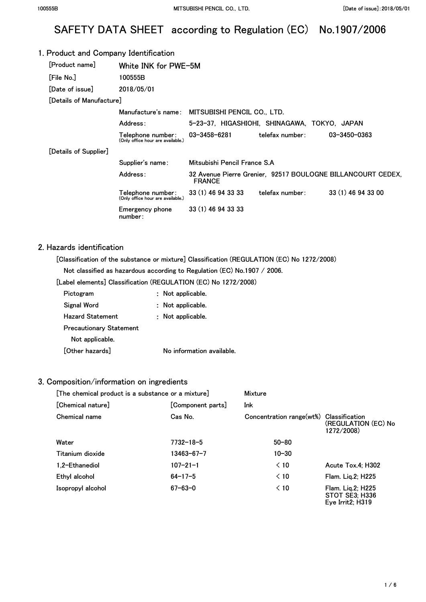# SAFETY DATA SHEET according to Regulation (EC) No.1907/2006

## 1. Product and Company Identification

| [Product name]           | White INK for PWE-5M                                   |                              |                                              |                                                             |
|--------------------------|--------------------------------------------------------|------------------------------|----------------------------------------------|-------------------------------------------------------------|
| [File No.]               | 100555B                                                |                              |                                              |                                                             |
| [Date of issue]          | 2018/05/01                                             |                              |                                              |                                                             |
| [Details of Manufacture] |                                                        |                              |                                              |                                                             |
|                          | Manufacture's name:                                    | MITSUBISHI PENCIL CO., LTD.  |                                              |                                                             |
|                          | Address:                                               |                              | 5-23-37, HIGASHIOHI, SHINAGAWA, TOKYO, JAPAN |                                                             |
|                          | Telephone number:<br>(Only office hour are available.) | $03 - 3458 - 6281$           | telefax number:                              | 03-3450-0363                                                |
| [Details of Supplier]    |                                                        |                              |                                              |                                                             |
|                          | Supplier's name:                                       | Mitsubishi Pencil France S.A |                                              |                                                             |
|                          | Address:                                               | <b>FRANCE</b>                |                                              | 32 Avenue Pierre Grenier, 92517 BOULOGNE BILLANCOURT CEDEX, |
|                          | Telephone number:<br>(Only office hour are available.) | 33 (1) 46 94 33 33           | telefax number:                              | 33 (1) 46 94 33 00                                          |
|                          | Emergency phone<br>number:                             | 33 (1) 46 94 33 33           |                                              |                                                             |

#### 2. Hazards identification

[Classification of the substance or mixture] Classification (REGULATION (EC) No 1272/2008)

Not classified as hazardous according to Regulation (EC) No.1907 / 2006.

[Label elements] Classification (REGULATION (EC) No 1272/2008)

| Pictogram                      | Not applicable.           |
|--------------------------------|---------------------------|
| Signal Word                    | Not applicable.           |
| <b>Hazard Statement</b>        | : Not applicable.         |
| <b>Precautionary Statement</b> |                           |
| Not applicable.                |                           |
| [Other hazards]                | No information available. |

#### 3. Composition/information on ingredients

| [The chemical product is a substance or a mixture] |                   | Mixture                                 |                                                                                   |
|----------------------------------------------------|-------------------|-----------------------------------------|-----------------------------------------------------------------------------------|
| [Chemical nature]                                  | [Component parts] | Ink                                     |                                                                                   |
| Chemical name                                      | Cas No.           | Concentration range(wt%) Classification | (REGULATION (EC) No<br>1272/2008)                                                 |
| Water                                              | 7732-18-5         | $50 - 80$                               |                                                                                   |
| Titanium dioxide                                   | $13463 - 67 - 7$  | $10 - 30$                               |                                                                                   |
| 1.2-Ethanediol                                     | $107 - 21 - 1$    | $\leq 10$                               | Acute Tox.4: H302                                                                 |
| Ethyl alcohol                                      | $64 - 17 - 5$     | $\leq 10$                               | Flam. Lig.2; H225                                                                 |
| Isopropyl alcohol                                  | $67 - 63 - 0$     | $\leq 10$                               | Flam. Lig.2; H225<br>STOT SE3: H336<br>Eye Irrit <sub>2</sub> ; H <sub>3</sub> 19 |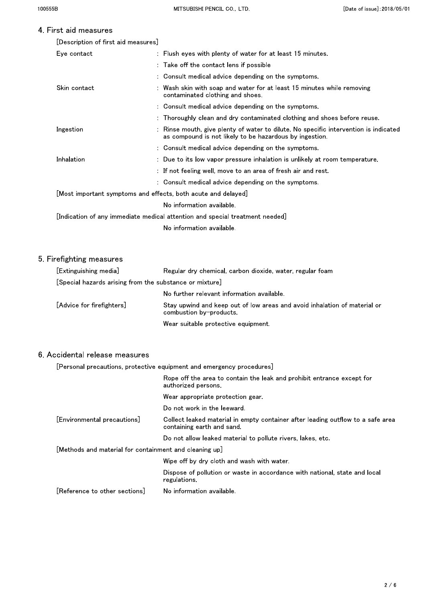#### $\overline{4}$ .

| First aid measures                  |                                                                                                                                               |
|-------------------------------------|-----------------------------------------------------------------------------------------------------------------------------------------------|
| [Description of first aid measures] |                                                                                                                                               |
| Eye contact                         | : Flush eyes with plenty of water for at least 15 minutes.                                                                                    |
|                                     | : Take off the contact lens if possible                                                                                                       |
|                                     | : Consult medical advice depending on the symptoms.                                                                                           |
| Skin contact                        | Wash skin with soap and water for at least 15 minutes while removing<br>contaminated clothing and shoes.                                      |
|                                     | : Consult medical advice depending on the symptoms.                                                                                           |
|                                     | : Thoroughly clean and dry contaminated clothing and shoes before reuse.                                                                      |
| Ingestion                           | Rinse mouth, give plenty of water to dilute. No specific intervention is indicated<br>as compound is not likely to be hazardous by ingestion. |
|                                     | : Consult medical advice depending on the symptoms.                                                                                           |
| Inhalation                          | : Due to its low vapor pressure inhalation is unlikely at room temperature.                                                                   |
|                                     | : If not feeling well, move to an area of fresh air and rest.                                                                                 |
|                                     | : Consult medical advice depending on the symptoms.                                                                                           |
|                                     | [Most important symptoms and effects, both acute and delayed]                                                                                 |
|                                     |                                                                                                                                               |

No information available.

[Indication of any immediate medical attention and special treatment needed]

No information available.

# 5. Firefighting measures

| [Extinguishing media]                                   | Regular dry chemical, carbon dioxide, water, regular foam                                            |
|---------------------------------------------------------|------------------------------------------------------------------------------------------------------|
| [Special hazards arising from the substance or mixture] |                                                                                                      |
|                                                         | No further relevant information available.                                                           |
| [Advice for firefighters]                               | Stay upwind and keep out of low areas and avoid inhalation of material or<br>combustion by-products. |
|                                                         | Wear suitable protective equipment.                                                                  |

#### 6. Accidental release measures

[Personal precautions, protective equipment and emergency procedures]

|                                                        | Rope off the area to contain the leak and prohibit entrance except for<br>authorized persons.                |
|--------------------------------------------------------|--------------------------------------------------------------------------------------------------------------|
|                                                        | Wear appropriate protection gear.                                                                            |
|                                                        | Do not work in the leeward.                                                                                  |
| [Environmental precautions]                            | Collect leaked material in empty container after leading outflow to a safe area<br>containing earth and sand |
|                                                        | Do not allow leaked material to pollute rivers, lakes, etc.                                                  |
| [Methods and material for containment and cleaning up] |                                                                                                              |
|                                                        | Wipe off by dry cloth and wash with water.                                                                   |
|                                                        | Dispose of pollution or waste in accordance with national, state and local<br>regulations.                   |
| [Reference to other sections]                          | No information available.                                                                                    |
|                                                        |                                                                                                              |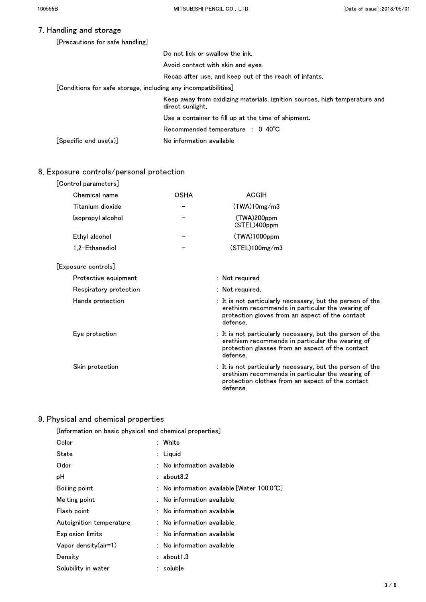# 7. Handling and storage

| [Precautions for safe handling]                                |                                                                                                |  |
|----------------------------------------------------------------|------------------------------------------------------------------------------------------------|--|
|                                                                | Do not lick or swallow the ink.                                                                |  |
|                                                                | Avoid contact with skin and eves                                                               |  |
|                                                                | Recap after use, and keep out of the reach of infants.                                         |  |
| [Conditions for safe storage, including any incompatibilities] |                                                                                                |  |
|                                                                | Keep away from oxidizing materials, ignition sources, high temperature and<br>direct sunlight. |  |
|                                                                | Use a container to fill up at the time of shipment.                                            |  |
|                                                                | $Recommended$ temperature : $0-40^{\circ}C$                                                    |  |
| $[Specific \text{ end use}(s)]$                                | No information available.                                                                      |  |

# 8. Exposure controls/personal protection

| [Control parameters]   |             |                                                                                                                                                                               |
|------------------------|-------------|-------------------------------------------------------------------------------------------------------------------------------------------------------------------------------|
| Chemical name          | <b>OSHA</b> | <b>ACGIH</b>                                                                                                                                                                  |
| Titanium dioxide       |             | (TWA)10mg/m3                                                                                                                                                                  |
| Isopropyl alcohol      |             | (TWA)200ppm<br>(STEL)400ppm                                                                                                                                                   |
| Ethyl alcohol          |             | $(TWA)1000$ ppm                                                                                                                                                               |
| 1,2-Ethanediol         |             | (STEL)100mg/m3                                                                                                                                                                |
| [Exposure controls]    |             |                                                                                                                                                                               |
| Protective equipment   |             | $:$ Not required.                                                                                                                                                             |
| Respiratory protection |             | $:$ Not required.                                                                                                                                                             |
| Hands protection       |             | : It is not particularly necessary, but the person of the<br>erethism recommends in particular the wearing of<br>protection gloves from an aspect of the contact<br>defense.  |
| Eye protection         |             | : It is not particularly necessary, but the person of the<br>erethism recommends in particular the wearing of<br>protection glasses from an aspect of the contact<br>defense. |
| Skin protection        |             | : It is not particularly necessary, but the person of the<br>erethism recommends in particular the wearing of<br>protection clothes from an aspect of the contact<br>defense. |

# 9. Physical and chemical properties

| ,, orour and onomnour proportroo                        |  |                                                      |
|---------------------------------------------------------|--|------------------------------------------------------|
| [Information on basic physical and chemical properties] |  |                                                      |
| Color                                                   |  | : White                                              |
| State                                                   |  | : Liguid                                             |
| Odor                                                    |  | $:$ No information available.                        |
| рH                                                      |  | $:$ about $8.2$                                      |
| Boiling point                                           |  | : No information available [Water $100.0^{\circ}$ C] |
| Melting point                                           |  | $:$ No information available.                        |
| Flash point                                             |  | $:$ No information available.                        |
| Autoignition temperature                                |  | $:$ No information available.                        |
| Explosion limits                                        |  | $:$ No information available.                        |
| Vapor density $(air=1)$                                 |  | $:$ No information available.                        |
| Density                                                 |  | : about1 3                                           |
| Solubility in water                                     |  | : soluble                                            |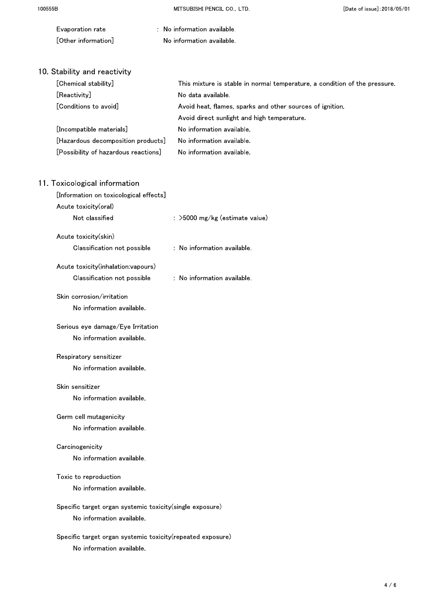| Evaporation rate                                           | : No information available.                                                |
|------------------------------------------------------------|----------------------------------------------------------------------------|
| [Other information]                                        | No information available.                                                  |
|                                                            |                                                                            |
| 10 Stability and reactivity                                |                                                                            |
| [Chemical stability]                                       | This mixture is stable in normal temperature, a condition of the pressure. |
| [Reactivity]                                               | No data available.                                                         |
| [Conditions to avoid]                                      | Avoid heat, flames, sparks and other sources of ignition.                  |
|                                                            | Avoid direct sunlight and high temperature.                                |
| [Incompatible materials]                                   | No information available.                                                  |
| [Hazardous decomposition products]                         | No information available.                                                  |
| [Possibility of hazardous reactions]                       | No information available.                                                  |
| 11. Toxicological information                              |                                                                            |
| [Information on toxicological effects]                     |                                                                            |
| Acute toxicity(oral)                                       |                                                                            |
| Not classified                                             | : >5000 mg/kg (estimate value)                                             |
| Acute toxicity(skin)                                       |                                                                            |
| Classification not possible                                | : No information available.                                                |
| Acute toxicity(inhalation:vapours)                         |                                                                            |
| Classification not possible                                | : No information available.                                                |
| Skin corrosion/irritation                                  |                                                                            |
| No information available.                                  |                                                                            |
| Serious eye damage/Eye Irritation                          |                                                                            |
| No information available.                                  |                                                                            |
| Respiratory sensitizer                                     |                                                                            |
| No information available.                                  |                                                                            |
| Skin sensitizer                                            |                                                                            |
| No information available.                                  |                                                                            |
| Germ cell mutagenicity                                     |                                                                            |
| No information available.                                  |                                                                            |
| Carcinogenicity                                            |                                                                            |
| No information available.                                  |                                                                            |
| Toxic to reproduction                                      |                                                                            |
| No information available.                                  |                                                                            |
| Specific target organ systemic toxicity(single exposure)   |                                                                            |
| No information available.                                  |                                                                            |
| Specific target organ systemic toxicity(repeated exposure) |                                                                            |
| No information available.                                  |                                                                            |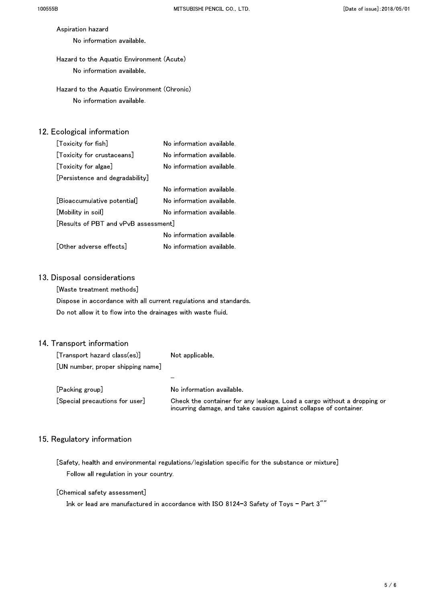Aspiration hazard No information available.

Hazard to the Aquatic Environment (Acute) No information available.

Hazard to the Aquatic Environment (Chronic) No information available.

# 12. Ecological information

| [Toxicity for fish]                  | No information available. |
|--------------------------------------|---------------------------|
| [Toxicity for crustaceans]           | No information available. |
| [Toxicity for algae]                 | No information available. |
| [Persistence and degradability]      |                           |
|                                      | No information available. |
| [Bioaccumulative potential]          | No information available. |
| [Mobility in soil]                   | No information available. |
| [Results of PBT and vPvB assessment] |                           |
|                                      | No information available. |
| [Other adverse effects]              | No information available. |
|                                      |                           |

### 13. Disposal considerations

[Waste treatment methods]

Dispose in accordance with all current regulations and standards. Do not allow it to flow into the drainages with waste fluid.

### 14. Transport information

| $[Transport\ hazard\ class(es)]$  | Not applicable                                                                                                                               |
|-----------------------------------|----------------------------------------------------------------------------------------------------------------------------------------------|
| [UN number, proper shipping name] | -                                                                                                                                            |
| [Packing group]                   | No information available.                                                                                                                    |
| Special precautions for user      | Check the container for any leakage. Load a cargo without a dropping or<br>incurring damage, and take causion against collapse of container. |

# 15. Regulatory information

[Safety, health and environmental regulations/legislation specific for the substance or mixture] Follow all regulation in your country.

#### [Chemical safety assessment]

Ink or lead are manufactured in accordance with ISO 8124-3 Safety of Toys - Part 3""